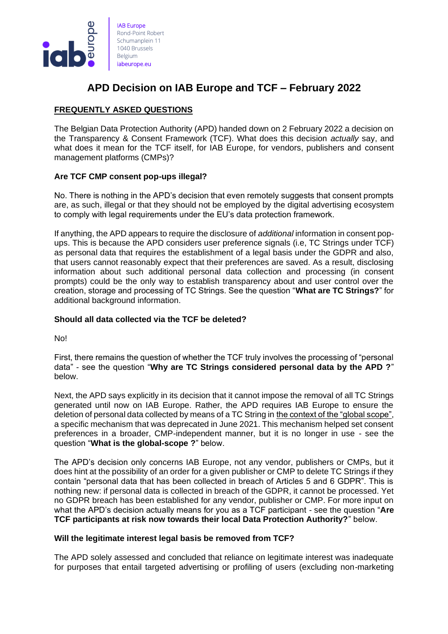

# **APD Decision on IAB Europe and TCF – February 2022**

# **FREQUENTLY ASKED QUESTIONS**

The Belgian Data Protection Authority (APD) handed down on 2 February 2022 a decision on the Transparency & Consent Framework (TCF). What does this decision *actually* say, and what does it mean for the TCF itself, for IAB Europe, for vendors, publishers and consent management platforms (CMPs)?

# **Are TCF CMP consent pop-ups illegal?**

No. There is nothing in the APD's decision that even remotely suggests that consent prompts are, as such, illegal or that they should not be employed by the digital advertising ecosystem to comply with legal requirements under the EU's data protection framework.

If anything, the APD appears to require the disclosure of *additional* information in consent popups. This is because the APD considers user preference signals (i.e, TC Strings under TCF) as personal data that requires the establishment of a legal basis under the GDPR and also, that users cannot reasonably expect that their preferences are saved. As a result, disclosing information about such additional personal data collection and processing (in consent prompts) could be the only way to establish transparency about and user control over the creation, storage and processing of TC Strings. See the question "**What are TC Strings?**" for additional background information.

# **Should all data collected via the TCF be deleted?**

No!

First, there remains the question of whether the TCF truly involves the processing of "personal data" - see the question "**Why are TC Strings considered personal data by the APD ?**" below.

Next, the APD says explicitly in its decision that it cannot impose the removal of all TC Strings generated until now on IAB Europe. Rather, the APD requires IAB Europe to ensure the deletion of personal data collected by means of a TC String in the context of the "global scope", a specific mechanism that was deprecated in June 2021. This mechanism helped set consent preferences in a broader, CMP-independent manner, but it is no longer in use - see the question "**What is the global-scope ?**" below.

The APD's decision only concerns IAB Europe, not any vendor, publishers or CMPs, but it does hint at the possibility of an order for a given publisher or CMP to delete TC Strings if they contain "personal data that has been collected in breach of Articles 5 and 6 GDPR". This is nothing new: if personal data is collected in breach of the GDPR, it cannot be processed. Yet no GDPR breach has been established for any vendor, publisher or CMP. For more input on what the APD's decision actually means for you as a TCF participant - see the question "**Are TCF participants at risk now towards their local Data Protection Authority?**" below.

# **Will the legitimate interest legal basis be removed from TCF?**

The APD solely assessed and concluded that reliance on legitimate interest was inadequate for purposes that entail targeted advertising or profiling of users (excluding non-marketing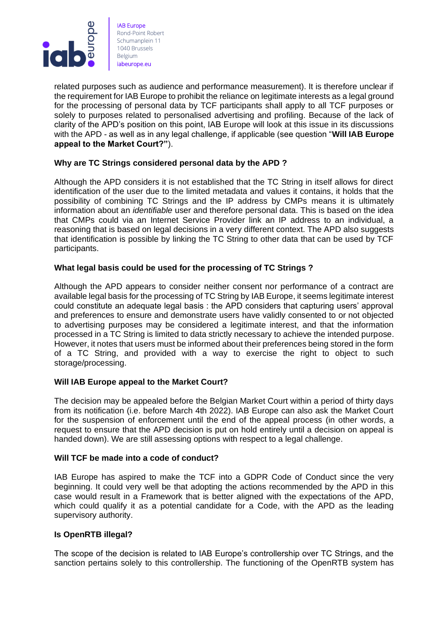

related purposes such as audience and performance measurement). It is therefore unclear if the requirement for IAB Europe to prohibit the reliance on legitimate interests as a legal ground for the processing of personal data by TCF participants shall apply to all TCF purposes or solely to purposes related to personalised advertising and profiling. Because of the lack of clarity of the APD's position on this point, IAB Europe will look at this issue in its discussions with the APD - as well as in any legal challenge, if applicable (see question "**Will IAB Europe appeal to the Market Court?"**).

## **Why are TC Strings considered personal data by the APD ?**

Although the APD considers it is not established that the TC String in itself allows for direct identification of the user due to the limited metadata and values it contains, it holds that the possibility of combining TC Strings and the IP address by CMPs means it is ultimately information about an *identifiable* user and therefore personal data. This is based on the idea that CMPs could via an Internet Service Provider link an IP address to an individual, a reasoning that is based on legal decisions in a very different context. The APD also suggests that identification is possible by linking the TC String to other data that can be used by TCF participants.

## **What legal basis could be used for the processing of TC Strings ?**

Although the APD appears to consider neither consent nor performance of a contract are available legal basis for the processing of TC String by IAB Europe, it seems legitimate interest could constitute an adequate legal basis : the APD considers that capturing users' approval and preferences to ensure and demonstrate users have validly consented to or not objected to advertising purposes may be considered a legitimate interest, and that the information processed in a TC String is limited to data strictly necessary to achieve the intended purpose. However, it notes that users must be informed about their preferences being stored in the form of a TC String, and provided with a way to exercise the right to object to such storage/processing.

#### **Will IAB Europe appeal to the Market Court?**

The decision may be appealed before the Belgian Market Court within a period of thirty days from its notification (i.e. before March 4th 2022). IAB Europe can also ask the Market Court for the suspension of enforcement until the end of the appeal process (in other words, a request to ensure that the APD decision is put on hold entirely until a decision on appeal is handed down). We are still assessing options with respect to a legal challenge.

#### **Will TCF be made into a code of conduct?**

IAB Europe has aspired to make the TCF into a GDPR Code of Conduct since the very beginning. It could very well be that adopting the actions recommended by the APD in this case would result in a Framework that is better aligned with the expectations of the APD, which could qualify it as a potential candidate for a Code, with the APD as the leading supervisory authority.

#### **Is OpenRTB illegal?**

The scope of the decision is related to IAB Europe's controllership over TC Strings, and the sanction pertains solely to this controllership. The functioning of the OpenRTB system has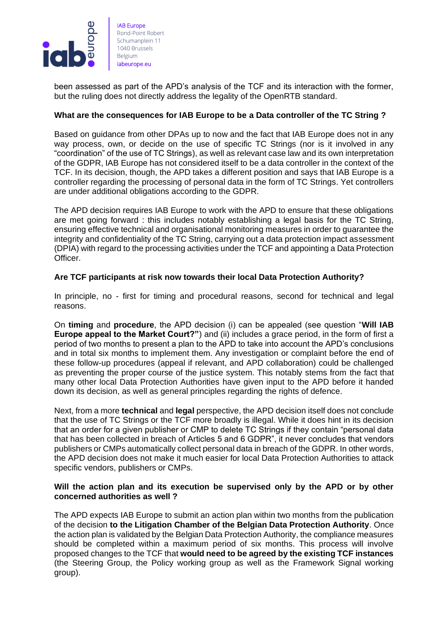

been assessed as part of the APD's analysis of the TCF and its interaction with the former, but the ruling does not directly address the legality of the OpenRTB standard.

# **What are the consequences for IAB Europe to be a Data controller of the TC String ?**

Based on guidance from other DPAs up to now and the fact that IAB Europe does not in any way process, own, or decide on the use of specific TC Strings (nor is it involved in any "coordination" of the use of TC Strings), as well as relevant case law and its own interpretation of the GDPR, IAB Europe has not considered itself to be a data controller in the context of the TCF. In its decision, though, the APD takes a different position and says that IAB Europe is a controller regarding the processing of personal data in the form of TC Strings. Yet controllers are under additional obligations according to the GDPR.

The APD decision requires IAB Europe to work with the APD to ensure that these obligations are met going forward : this includes notably establishing a legal basis for the TC String, ensuring effective technical and organisational monitoring measures in order to guarantee the integrity and confidentiality of the TC String, carrying out a data protection impact assessment (DPIA) with regard to the processing activities under the TCF and appointing a Data Protection Officer.

## **Are TCF participants at risk now towards their local Data Protection Authority?**

In principle, no - first for timing and procedural reasons, second for technical and legal reasons.

On **timing** and **procedure**, the APD decision (i) can be appealed (see question "**Will IAB Europe appeal to the Market Court?"**) and (ii) includes a grace period, in the form of first a period of two months to present a plan to the APD to take into account the APD's conclusions and in total six months to implement them. Any investigation or complaint before the end of these follow-up procedures (appeal if relevant, and APD collaboration) could be challenged as preventing the proper course of the justice system. This notably stems from the fact that many other local Data Protection Authorities have given input to the APD before it handed down its decision, as well as general principles regarding the rights of defence.

Next, from a more **technical** and **legal** perspective, the APD decision itself does not conclude that the use of TC Strings or the TCF more broadly is illegal. While it does hint in its decision that an order for a given publisher or CMP to delete TC Strings if they contain "personal data that has been collected in breach of Articles 5 and 6 GDPR", it never concludes that vendors publishers or CMPs automatically collect personal data in breach of the GDPR. In other words, the APD decision does not make it much easier for local Data Protection Authorities to attack specific vendors, publishers or CMPs.

## **Will the action plan and its execution be supervised only by the APD or by other concerned authorities as well ?**

The APD expects IAB Europe to submit an action plan within two months from the publication of the decision **to the Litigation Chamber of the Belgian Data Protection Authority**. Once the action plan is validated by the Belgian Data Protection Authority, the compliance measures should be completed within a maximum period of six months. This process will involve proposed changes to the TCF that **would need to be agreed by the existing TCF instances** (the Steering Group, the Policy working group as well as the Framework Signal working group).